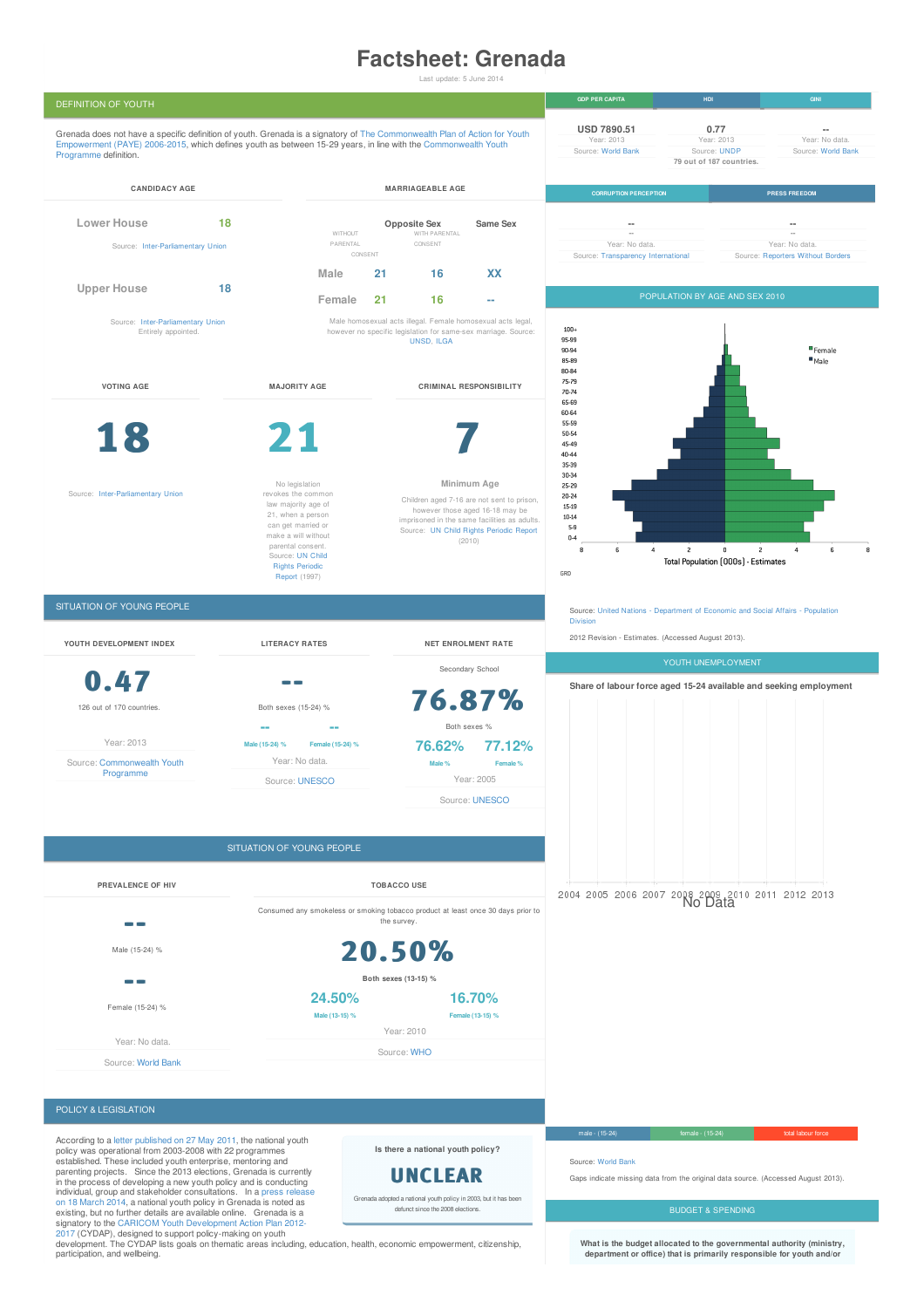# **Factsheet: Grenada**

Last update: 5 June 2014



signatory to the CARICOM Youth [Development](http://www.youthpolicy.org/wp-content/uploads/library/2013_CARICOM_CYDPA_Draft_Eng.pdf) Action Plan 2012-<br>2017 (CYDAP), designed to support policy-making on youth<br>development. The CYDAP lists goals on thematic areas including, education, health, economic empowerment, participation, and wellbeing.

**What is the budget allocated to the governmental authority (ministry, department or office) that is primarily responsible for youth and/or**